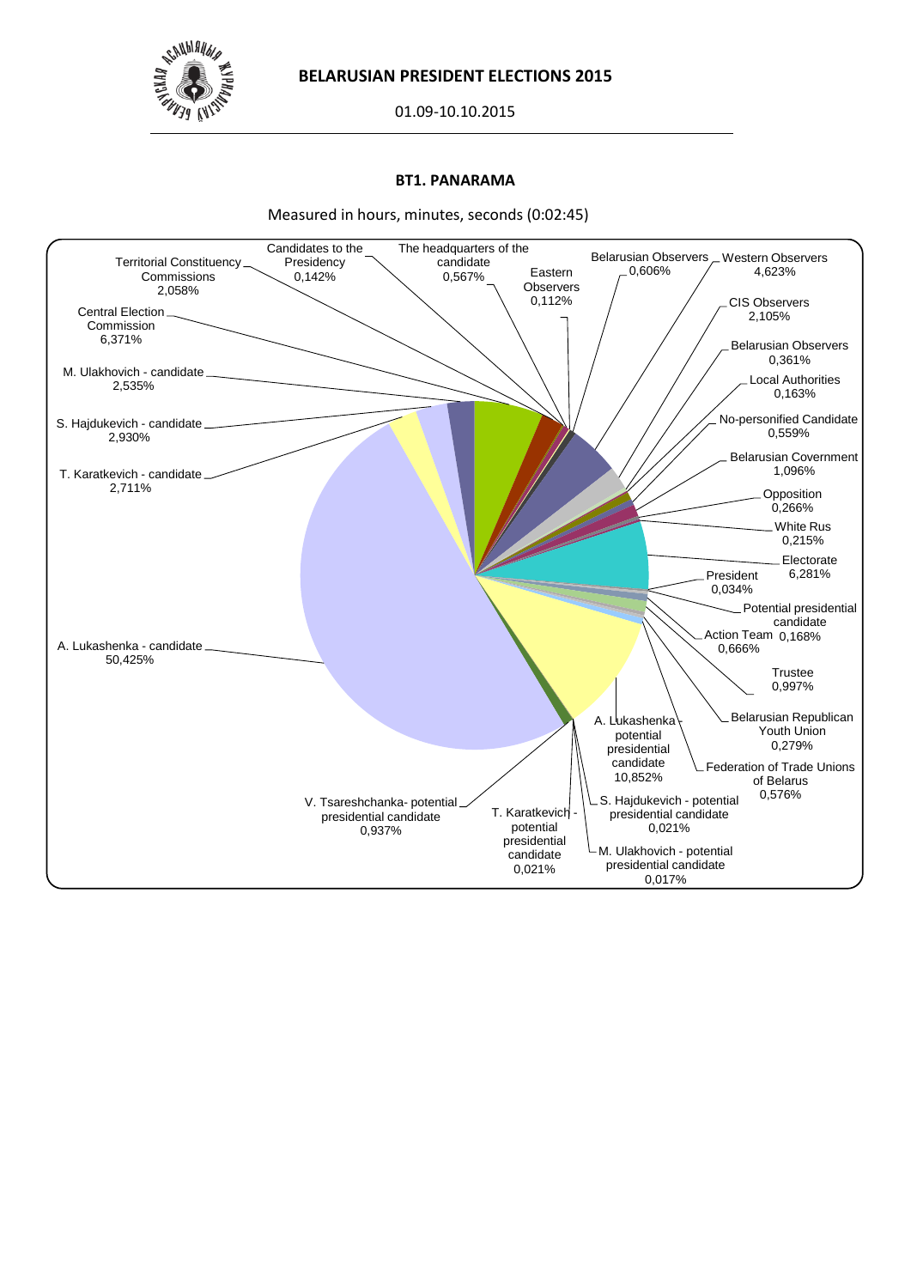

01.09-10.10.2015

### **BT1. PANARAMA**

Measured in hours, minutes, seconds (0:02:45)

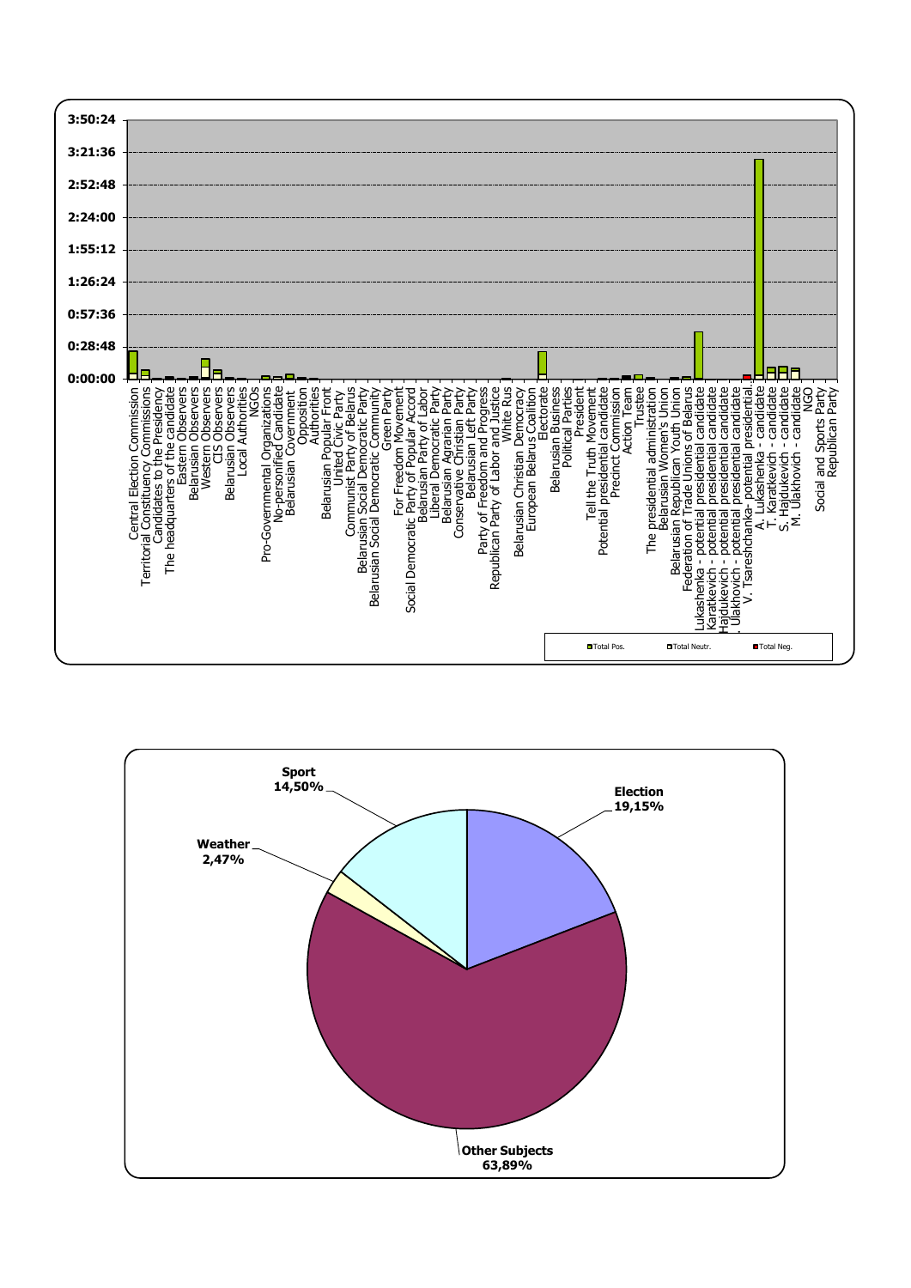

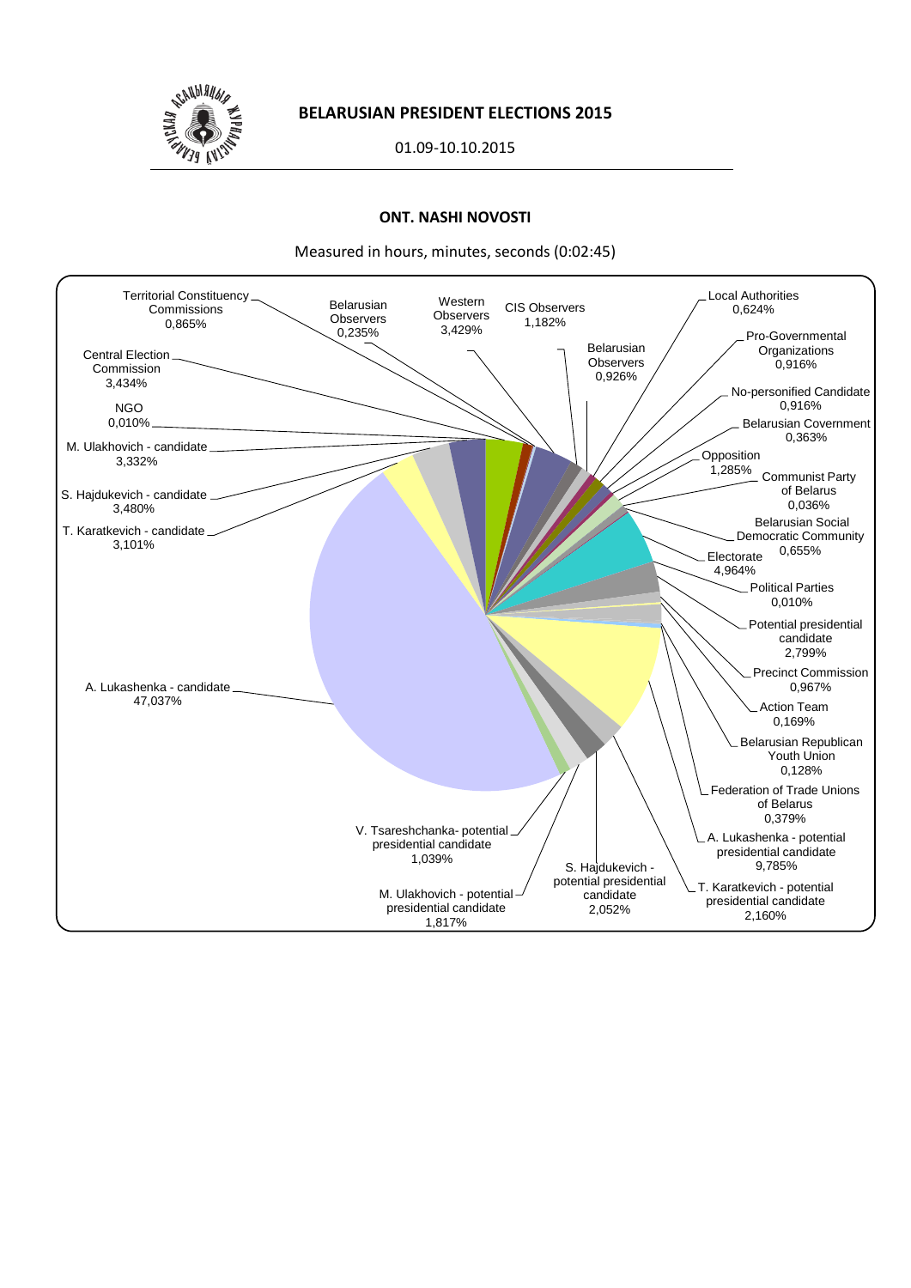

01.09-10.10.2015

# **ONT. NASHI NOVOSTI**

Measured in hours, minutes, seconds (0:02:45)

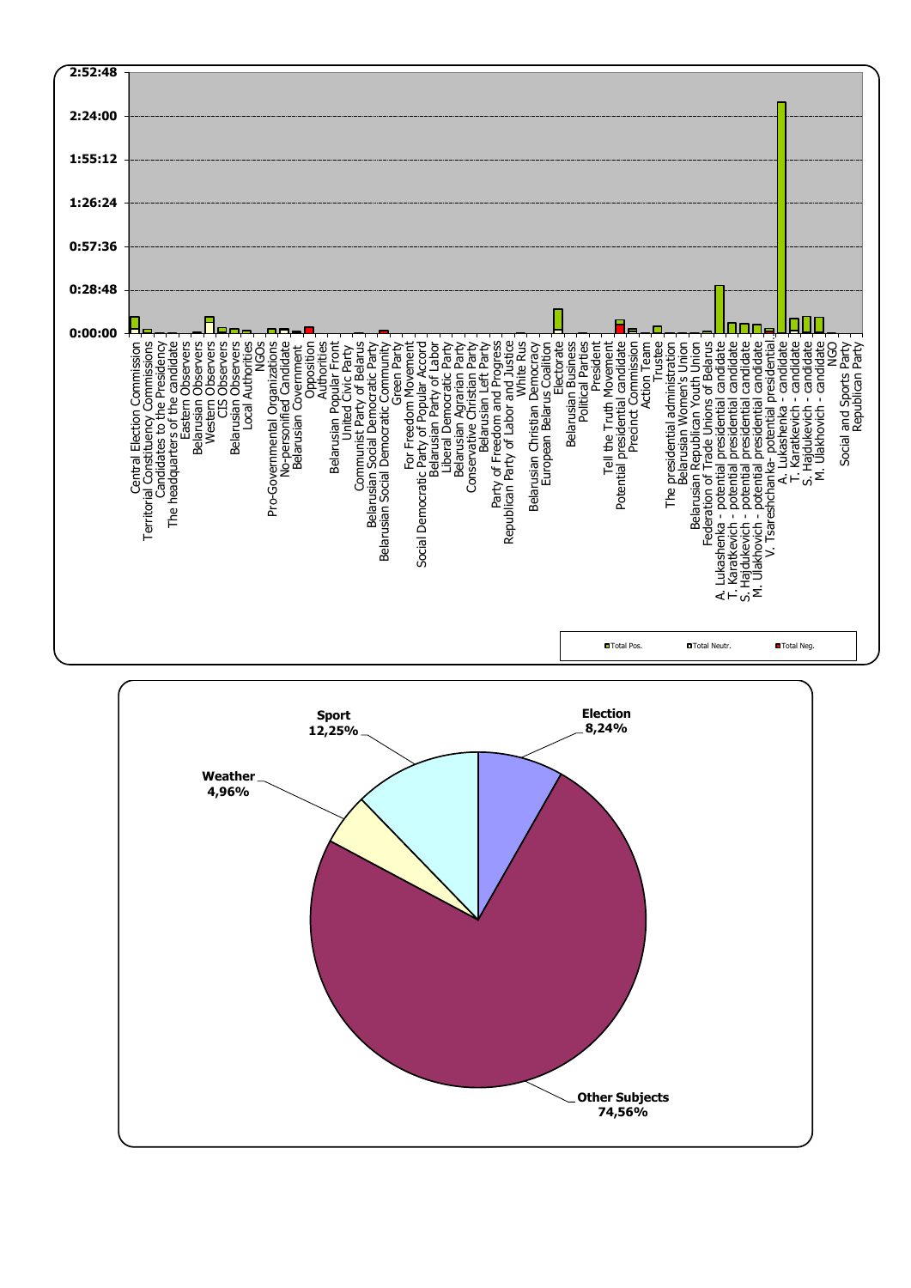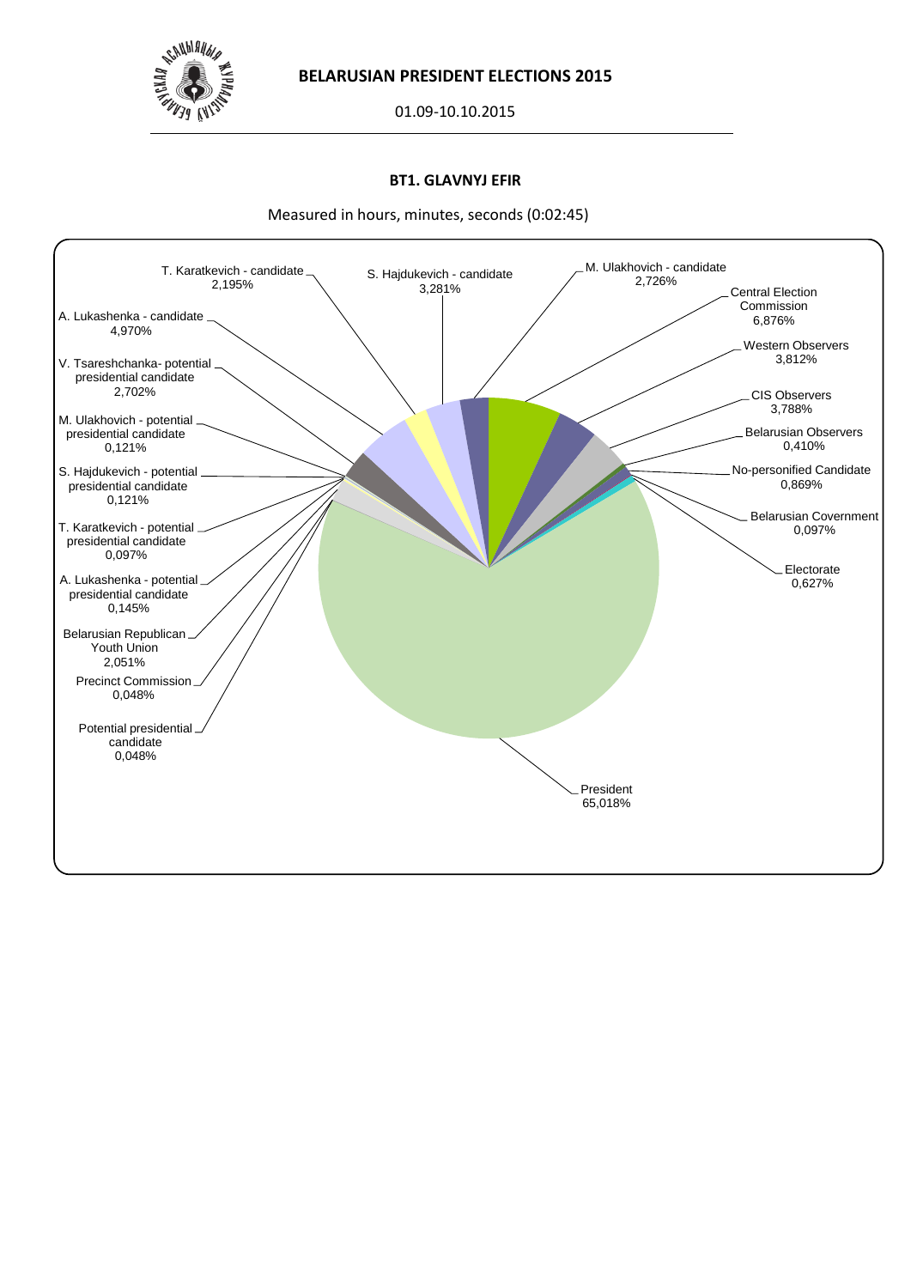

01.09-10.10.2015

### **BT1. GLAVNYJ EFIR**



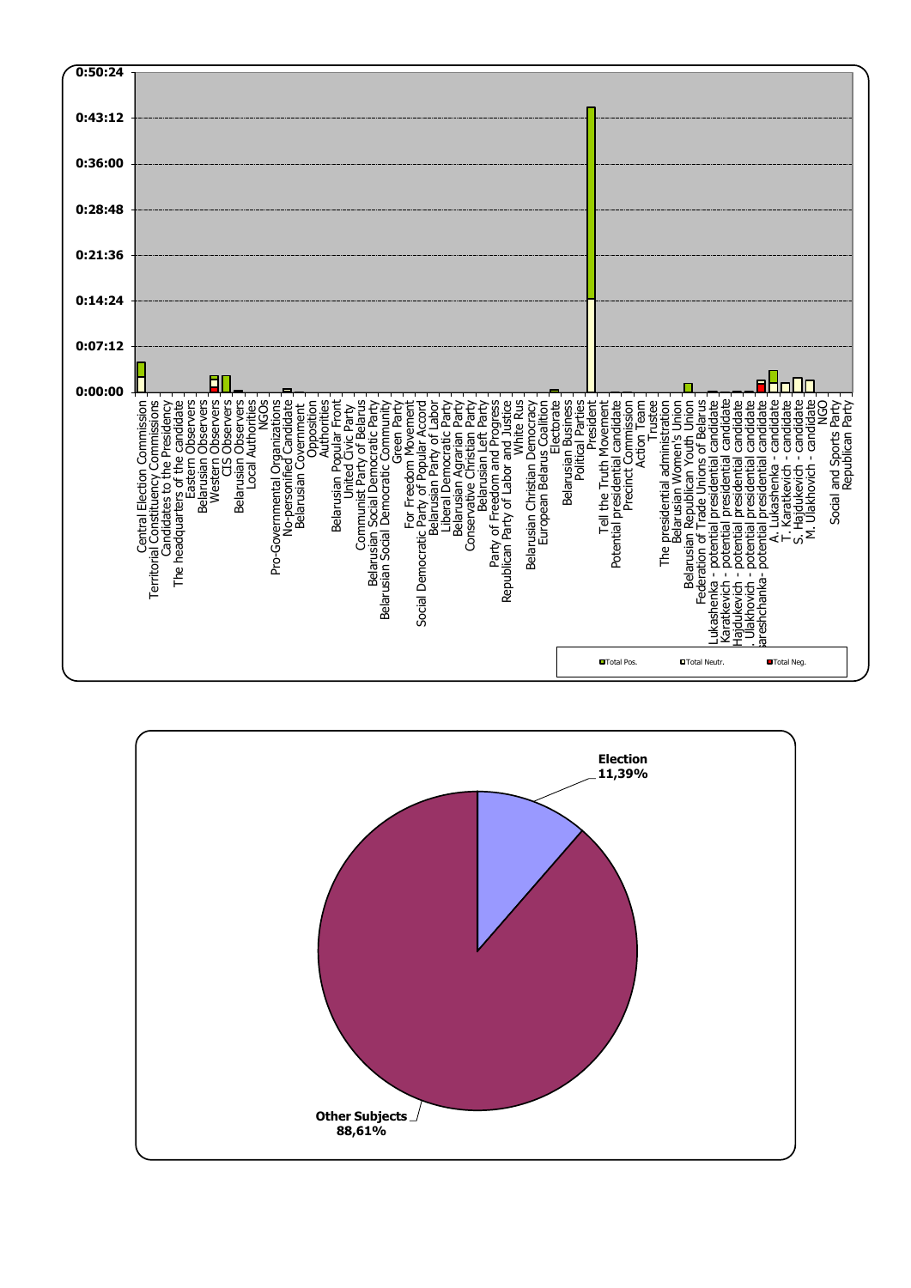

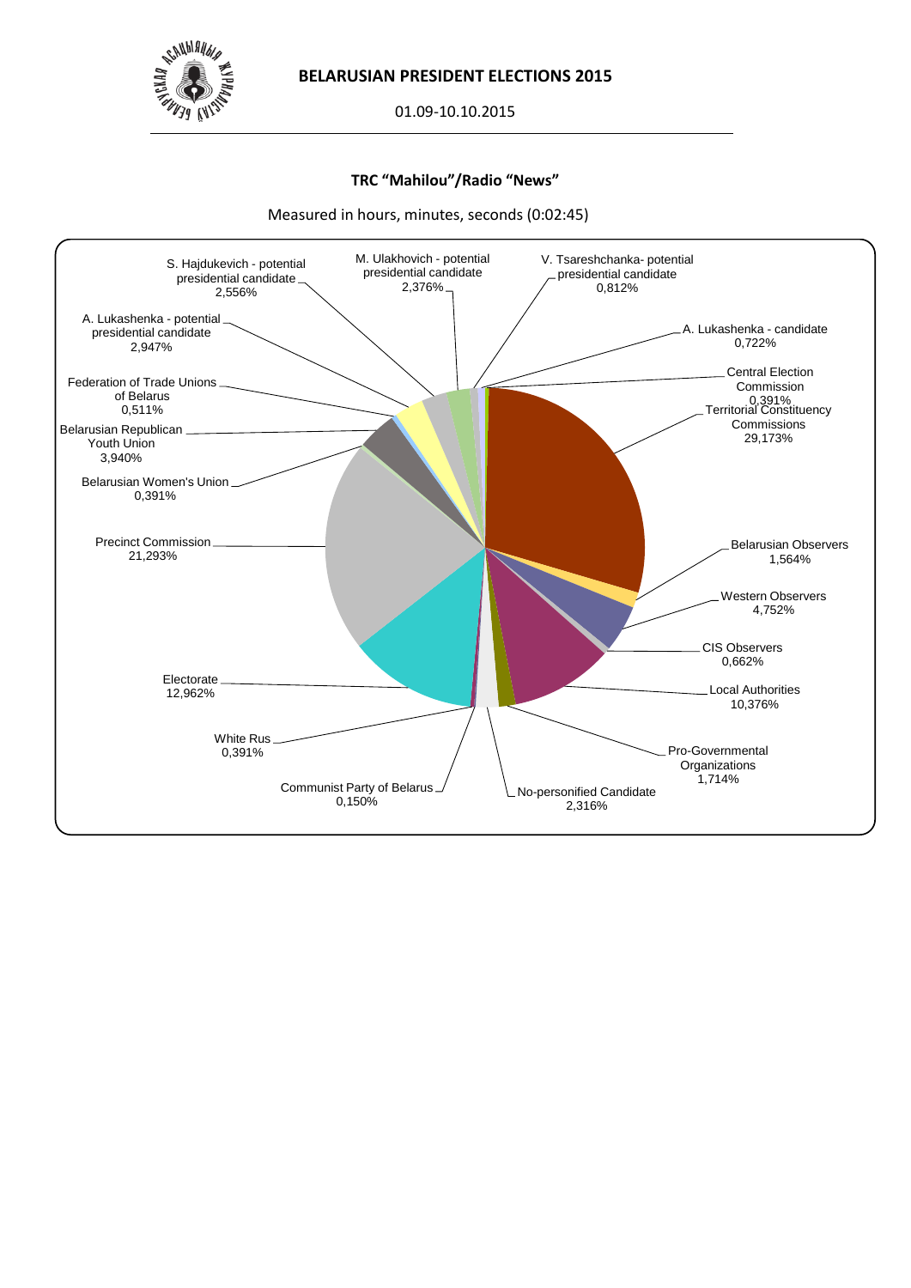

01.09-10.10.2015

## **TRC "Mahilou"/Radio "News"**



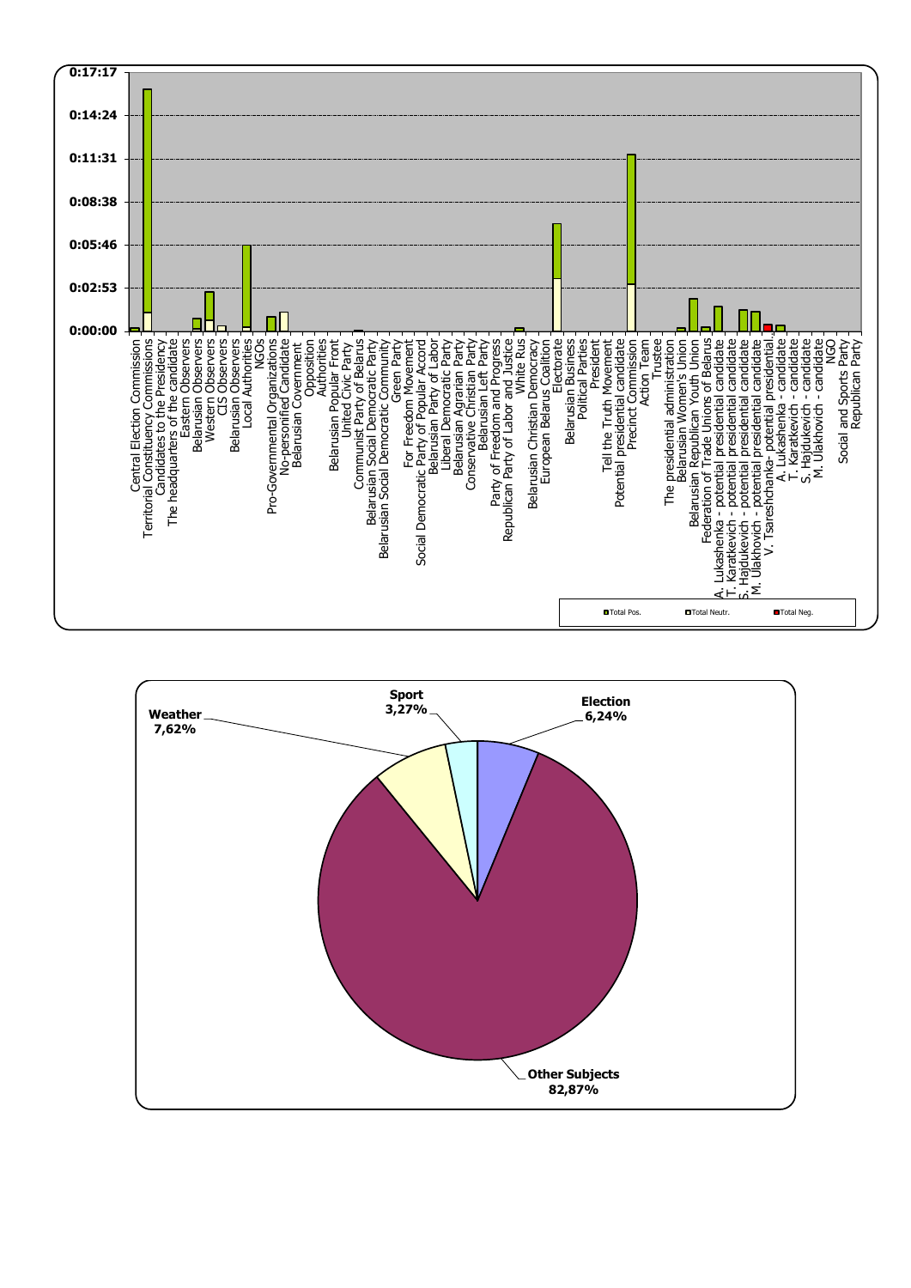

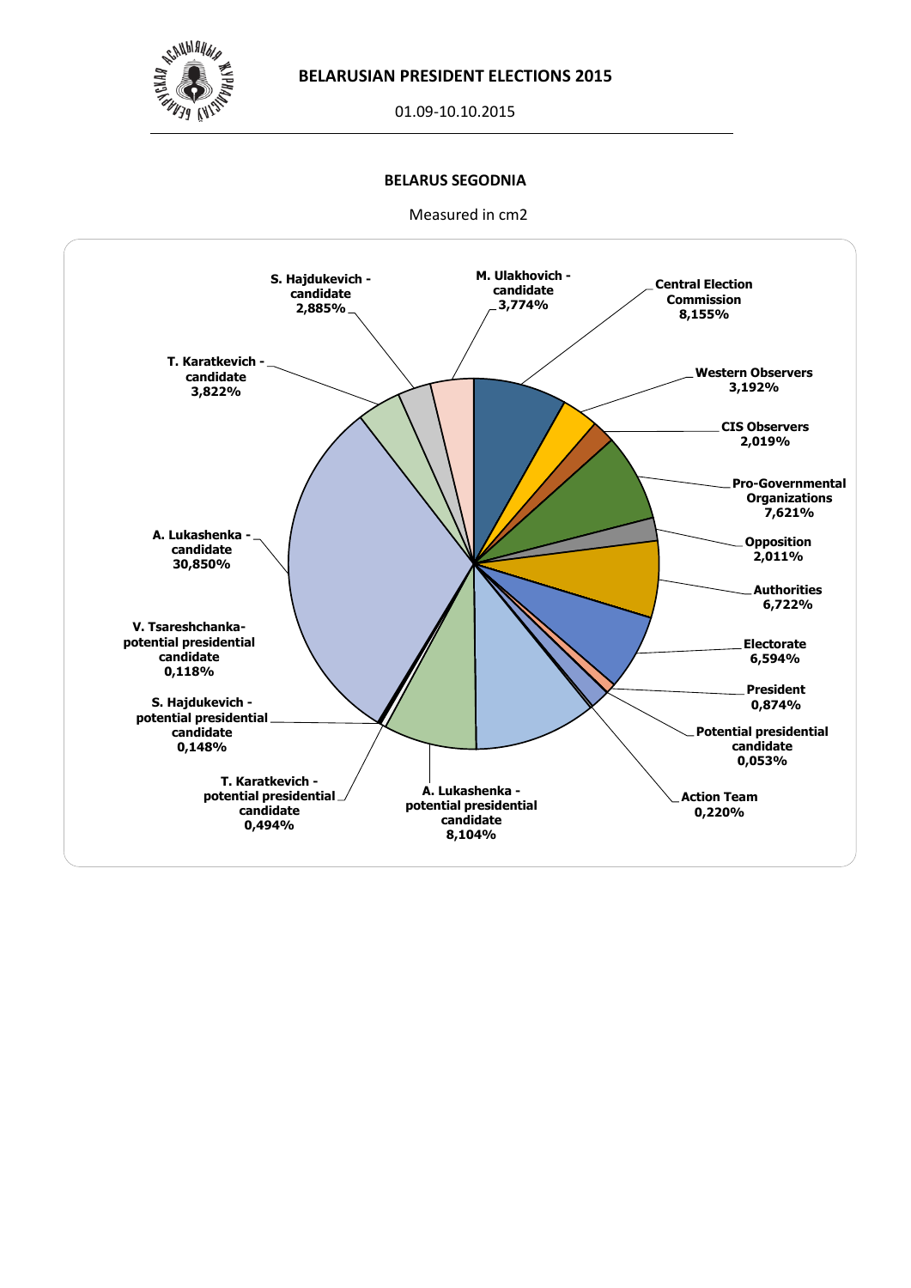

01.09-10.10.2015

### **BELARUS SEGODNIA**

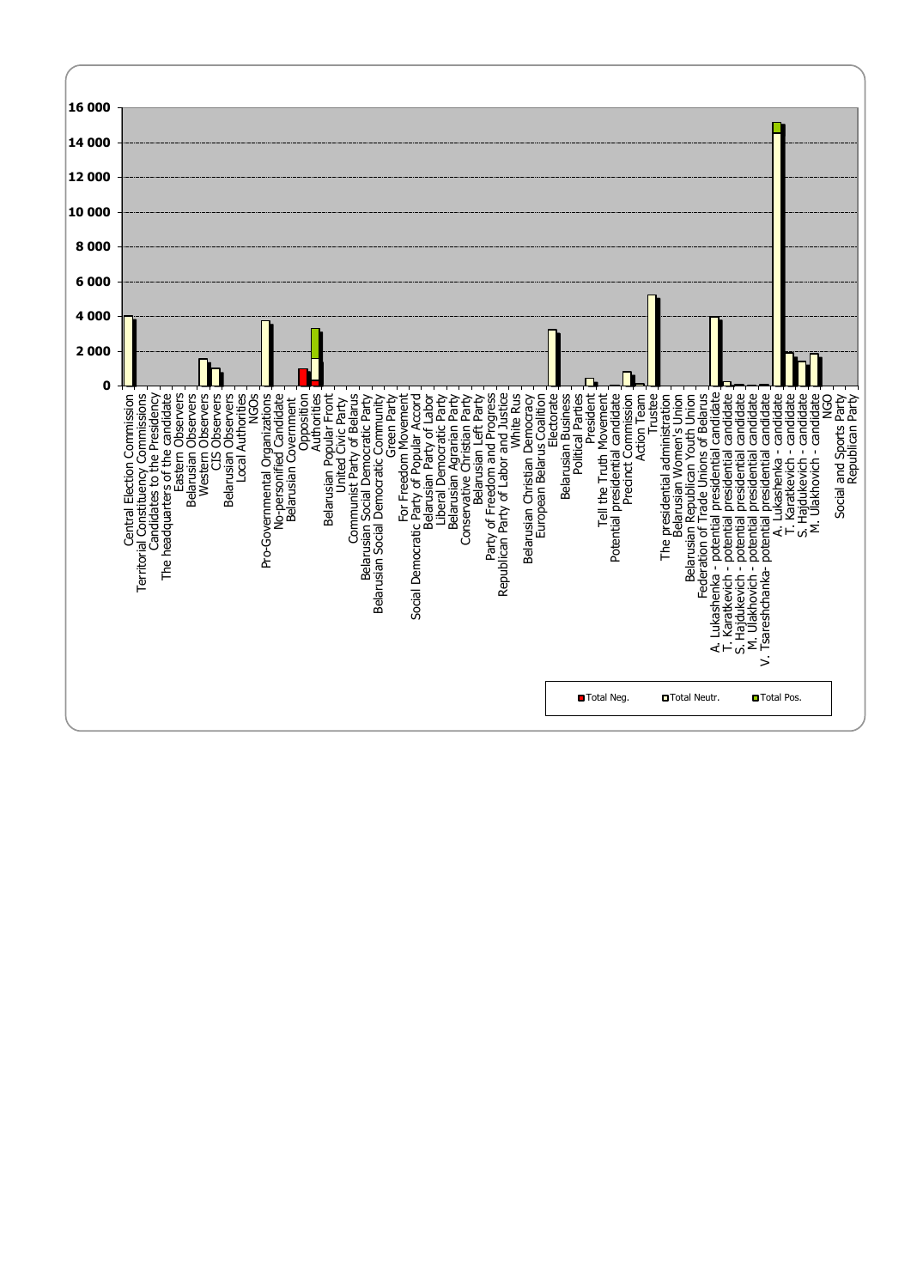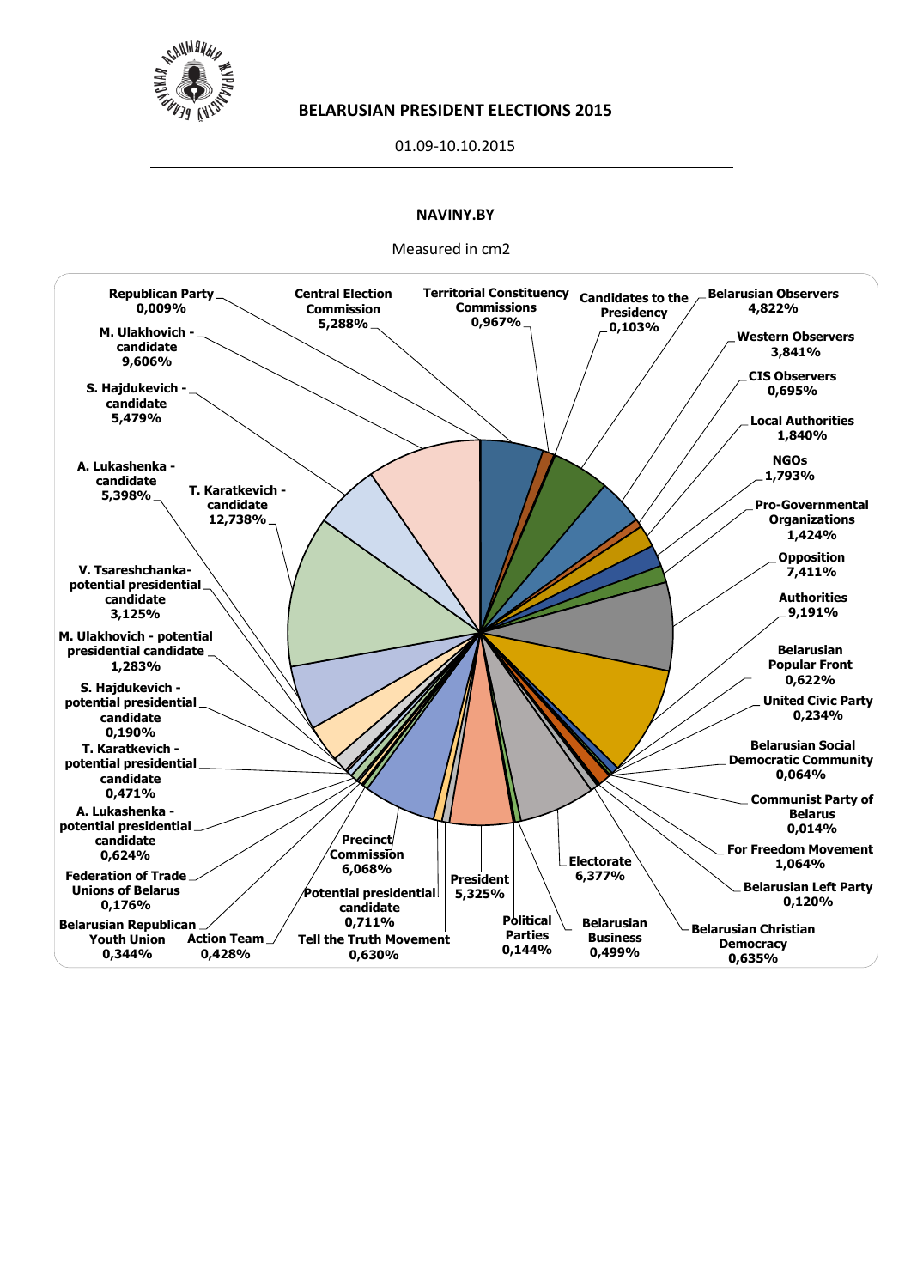

01.09-10.10.2015

# **NAVINY.BY**

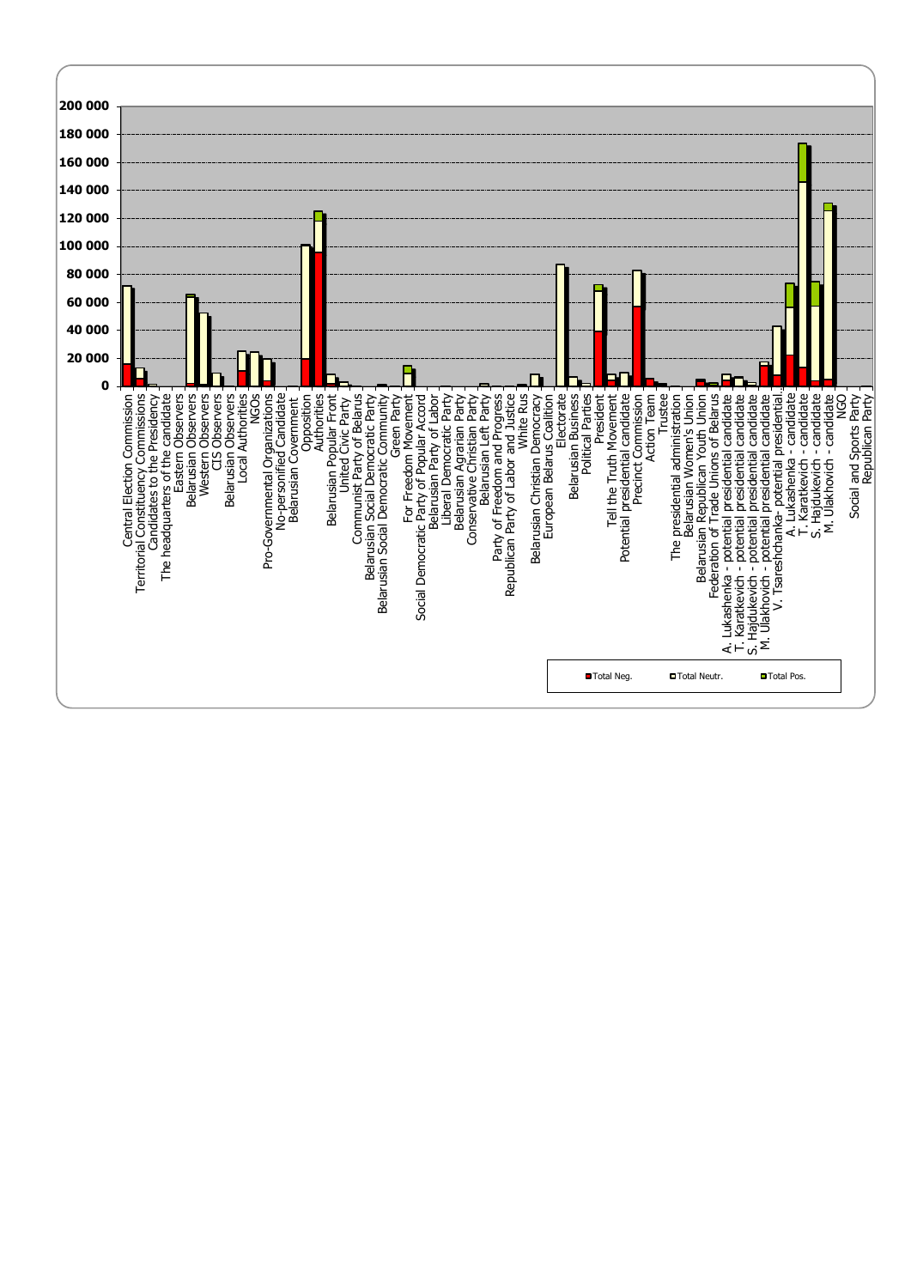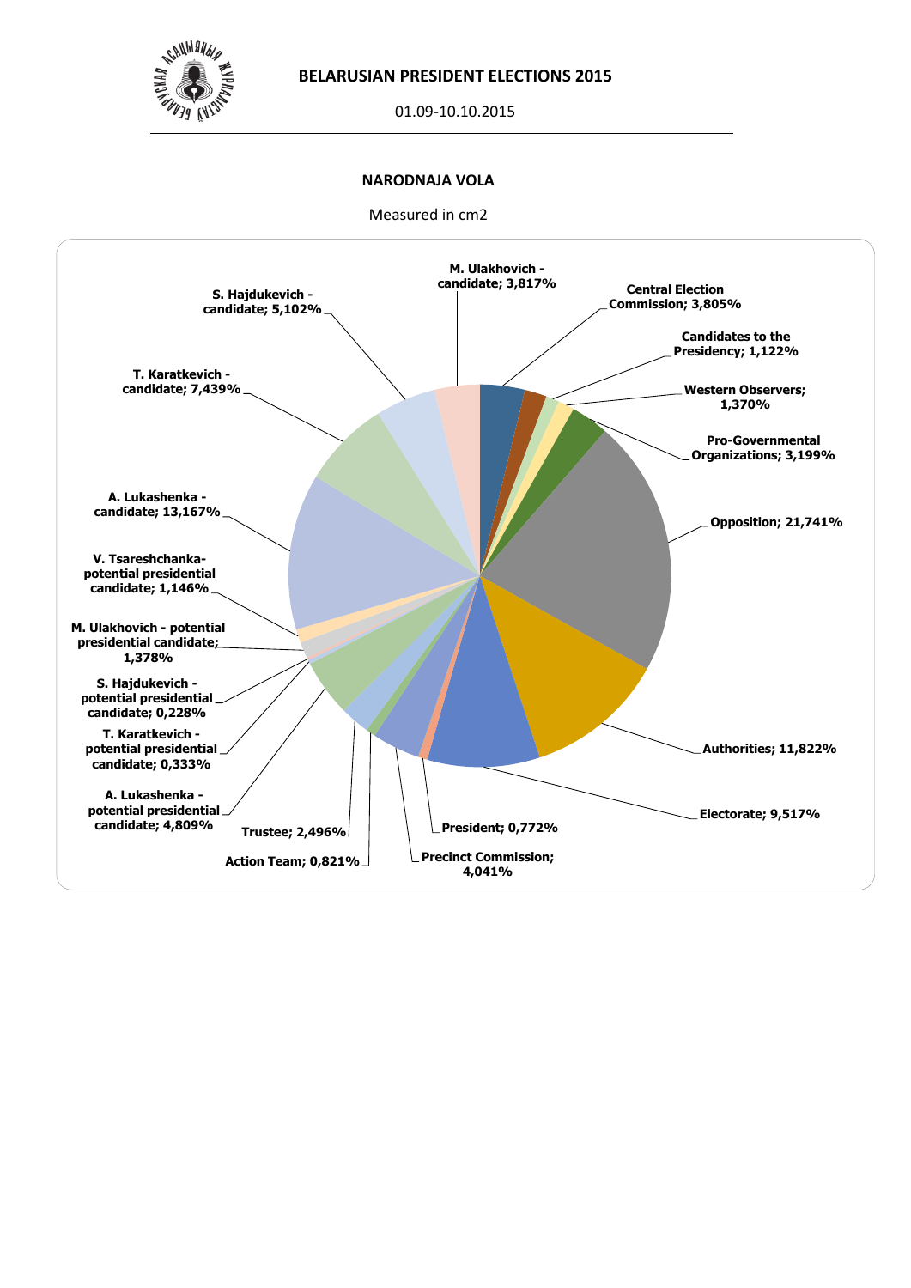

01.09-10.10.2015

## **NARODNAJA VOLA**

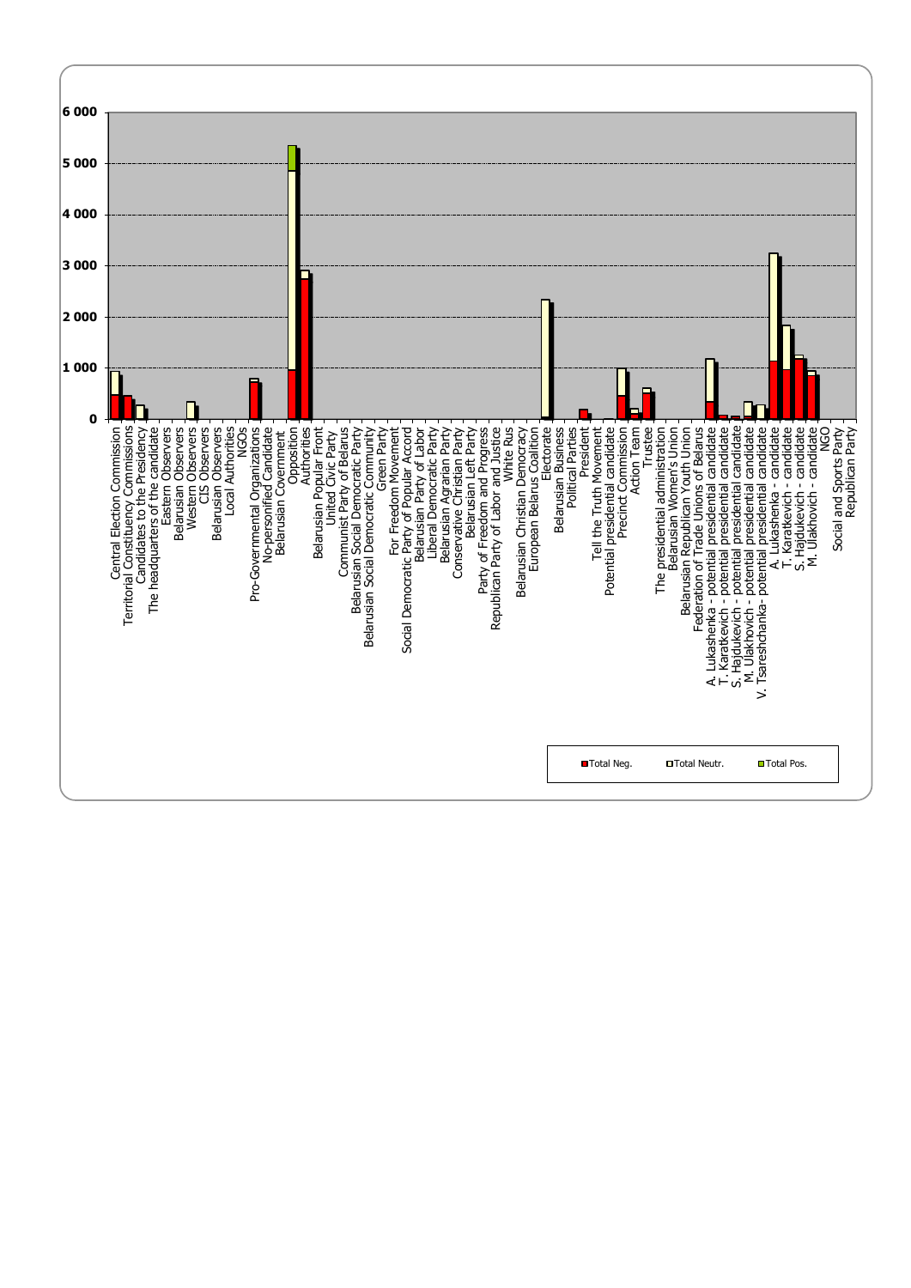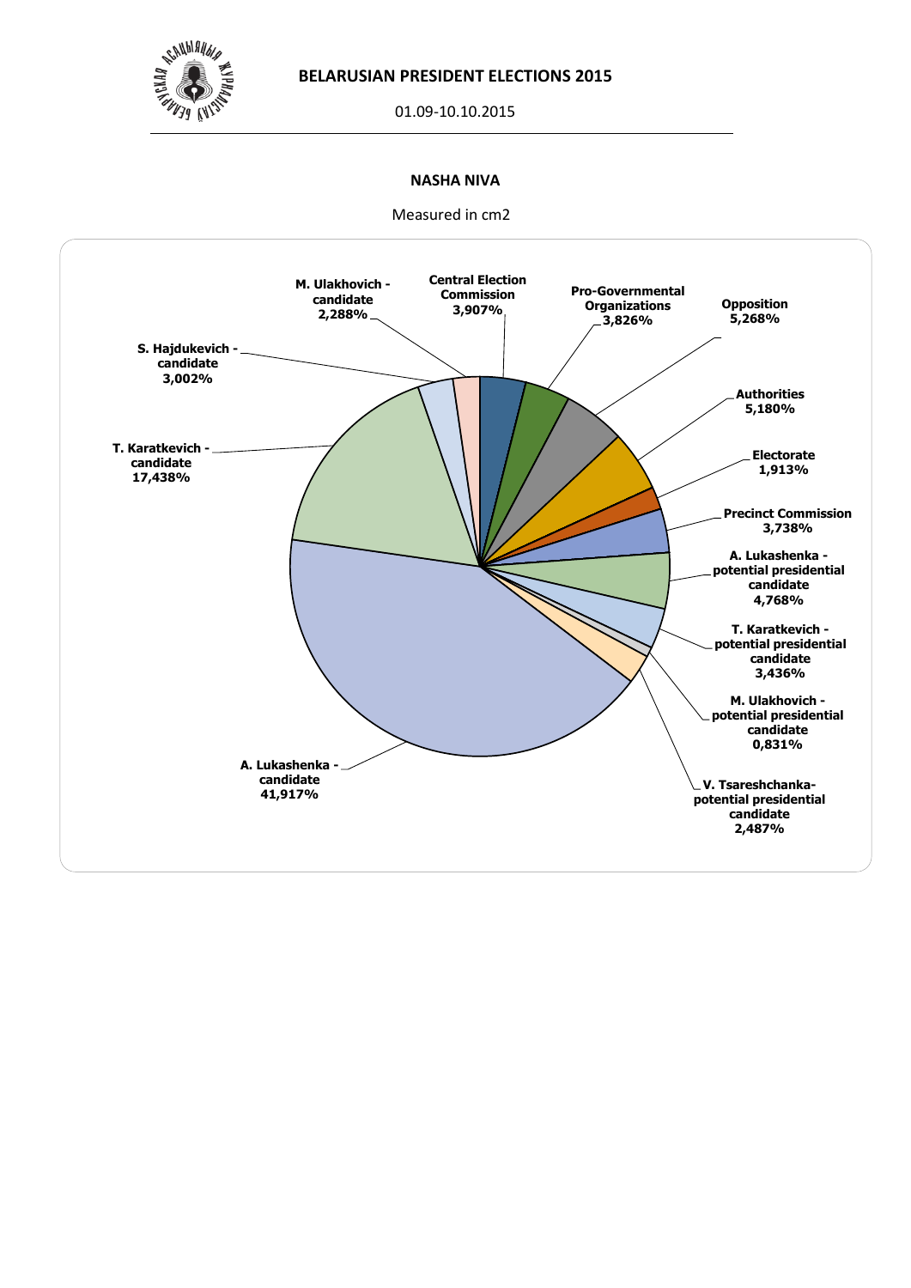

01.09-10.10.2015

## **NASHA NIVA**

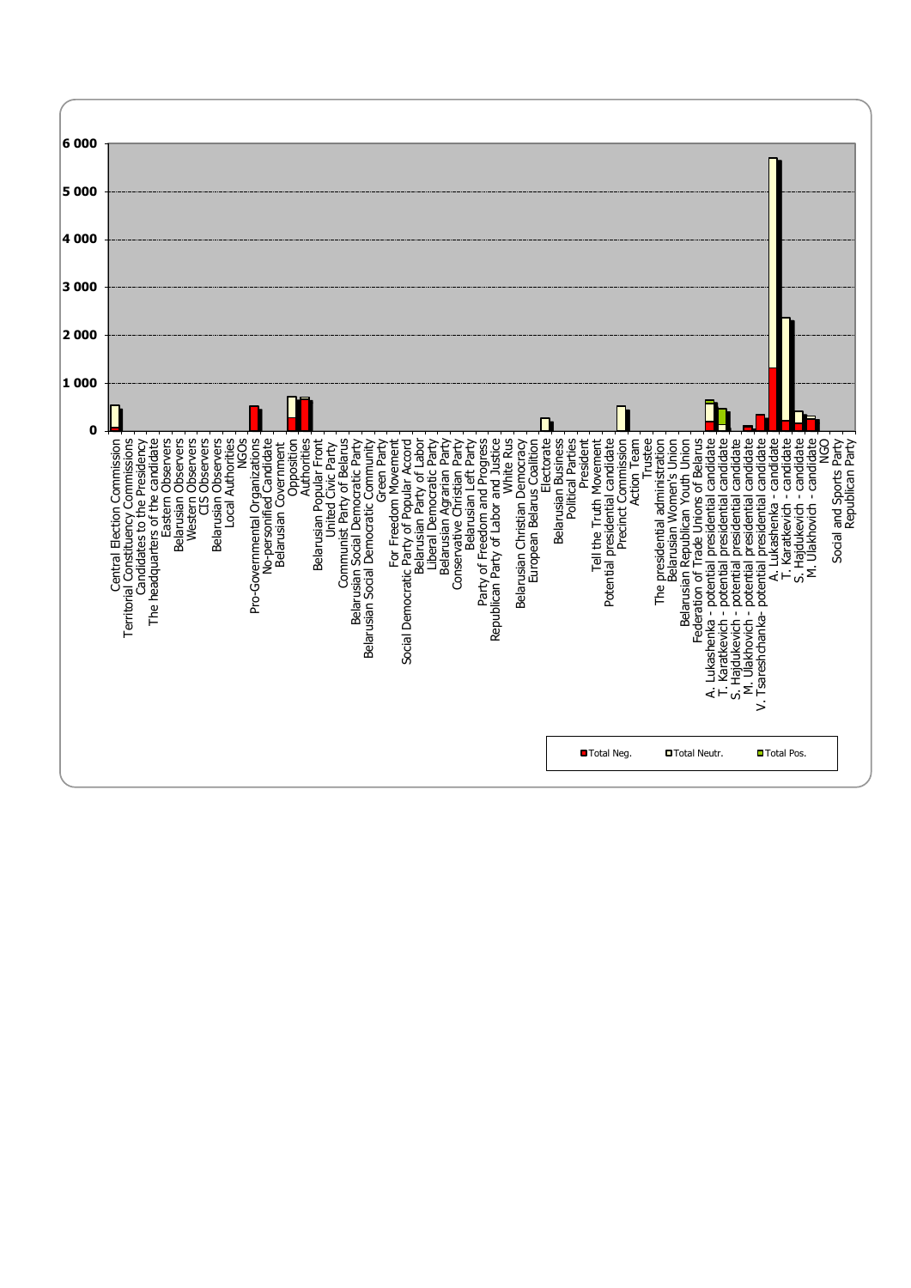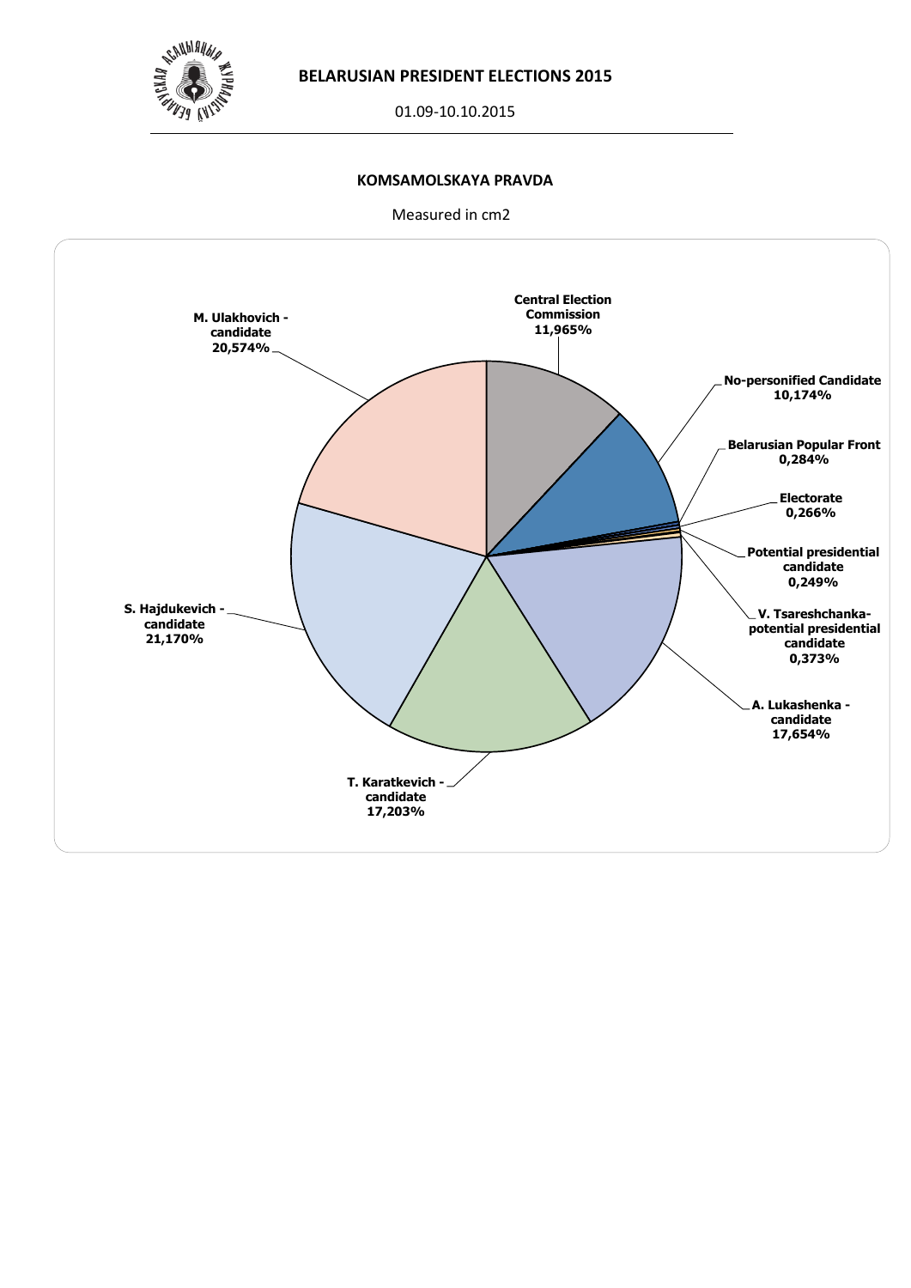

01.09-10.10.2015

## **KOMSAMOLSKAYA PRAVDA**

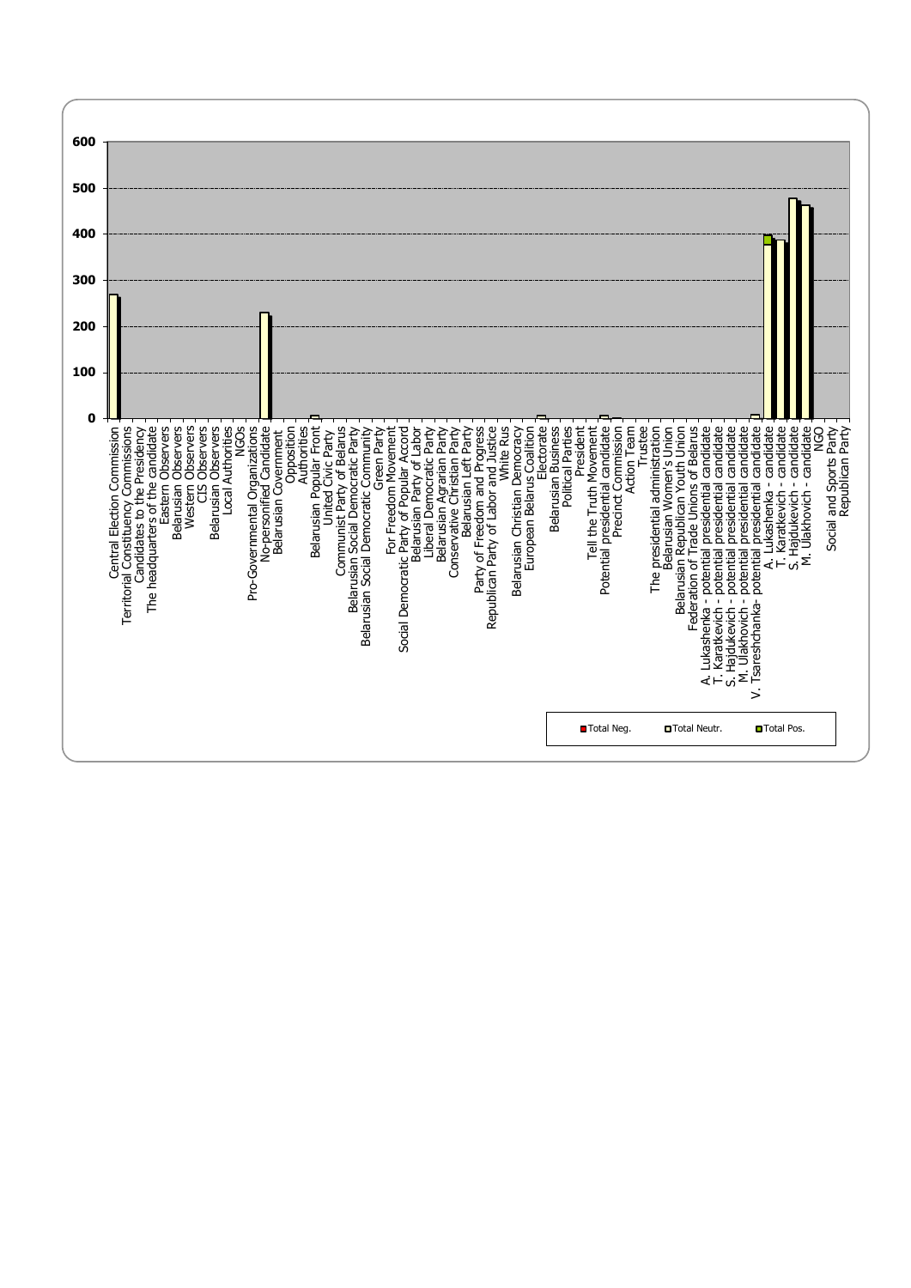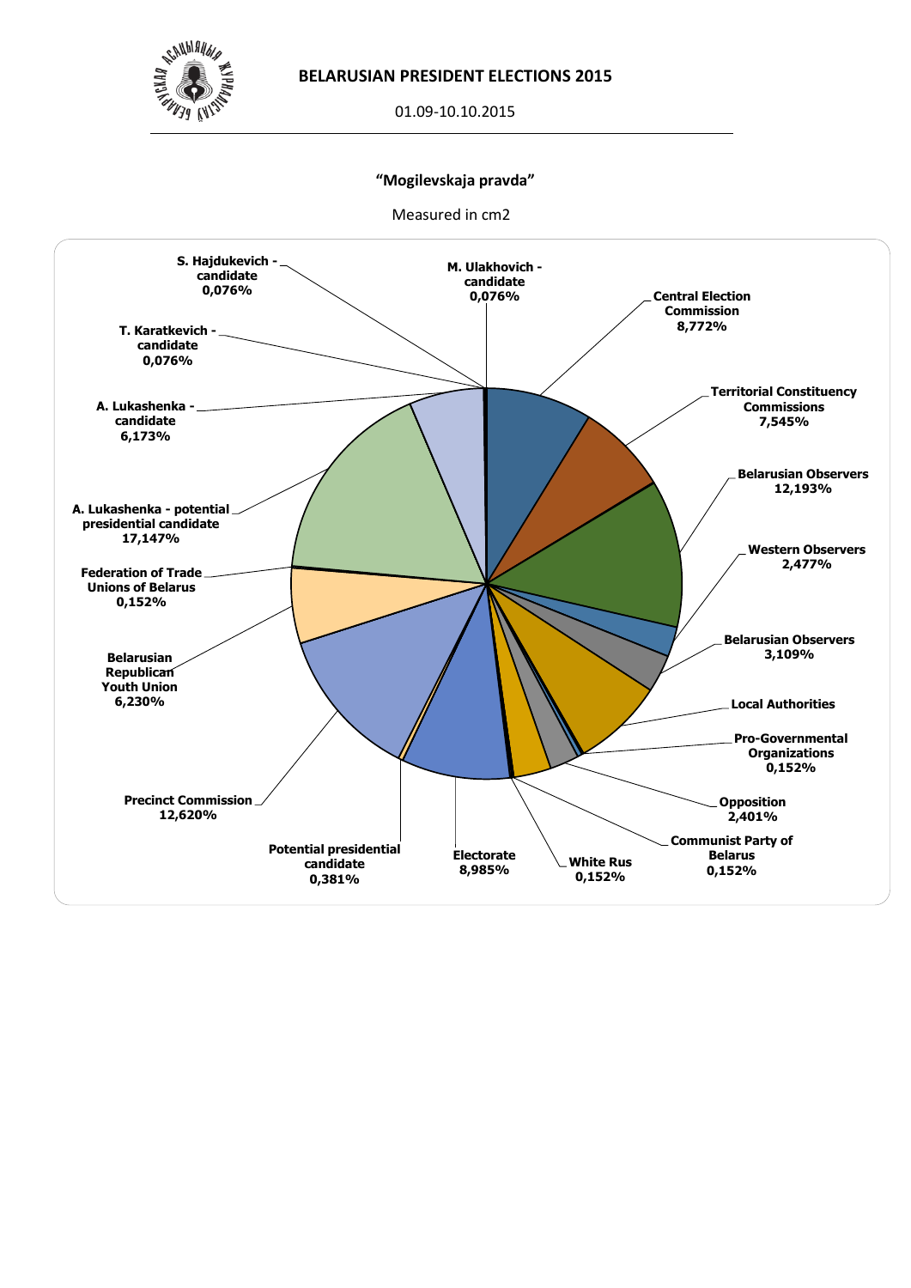

01.09-10.10.2015

## **"Mogilevskaja pravda"**

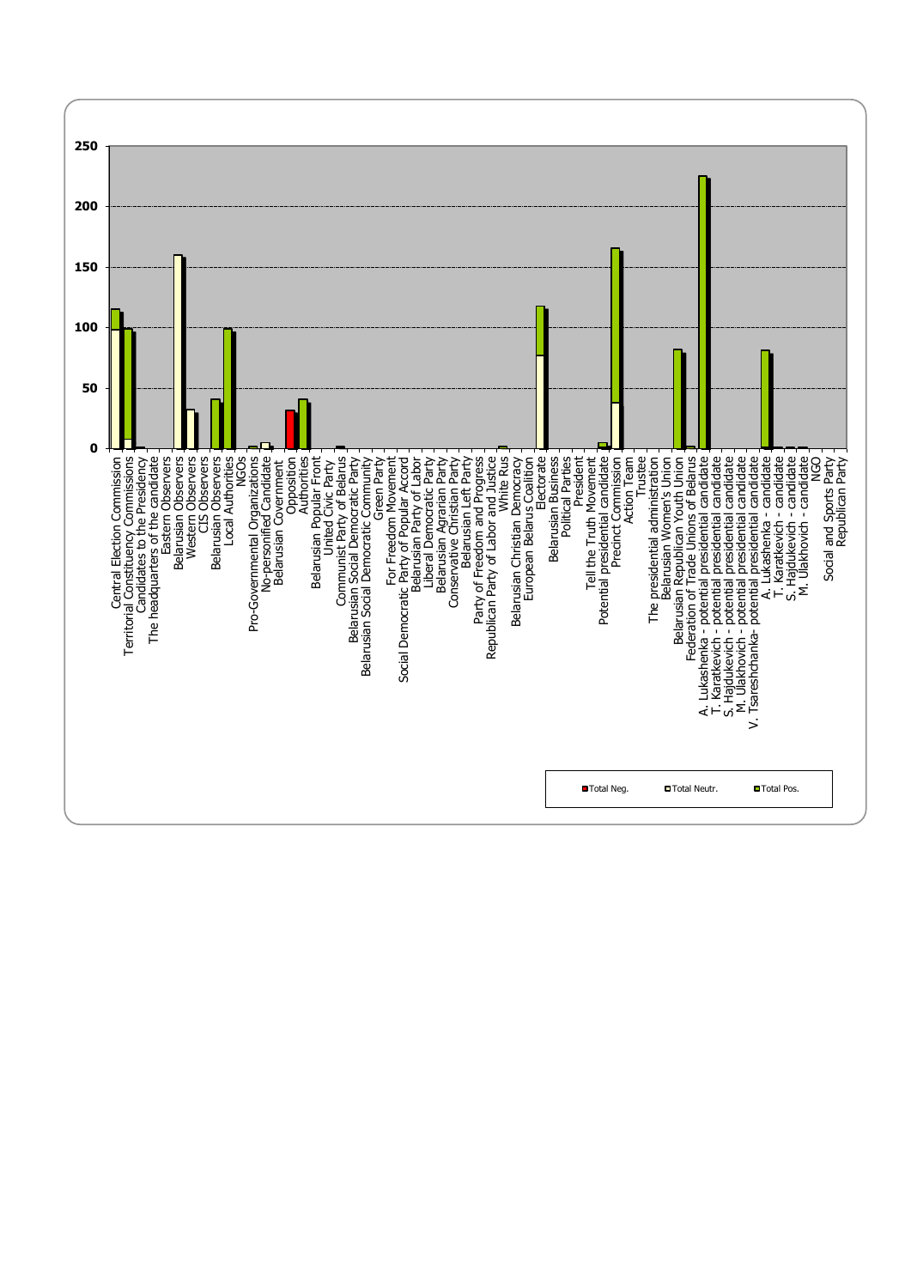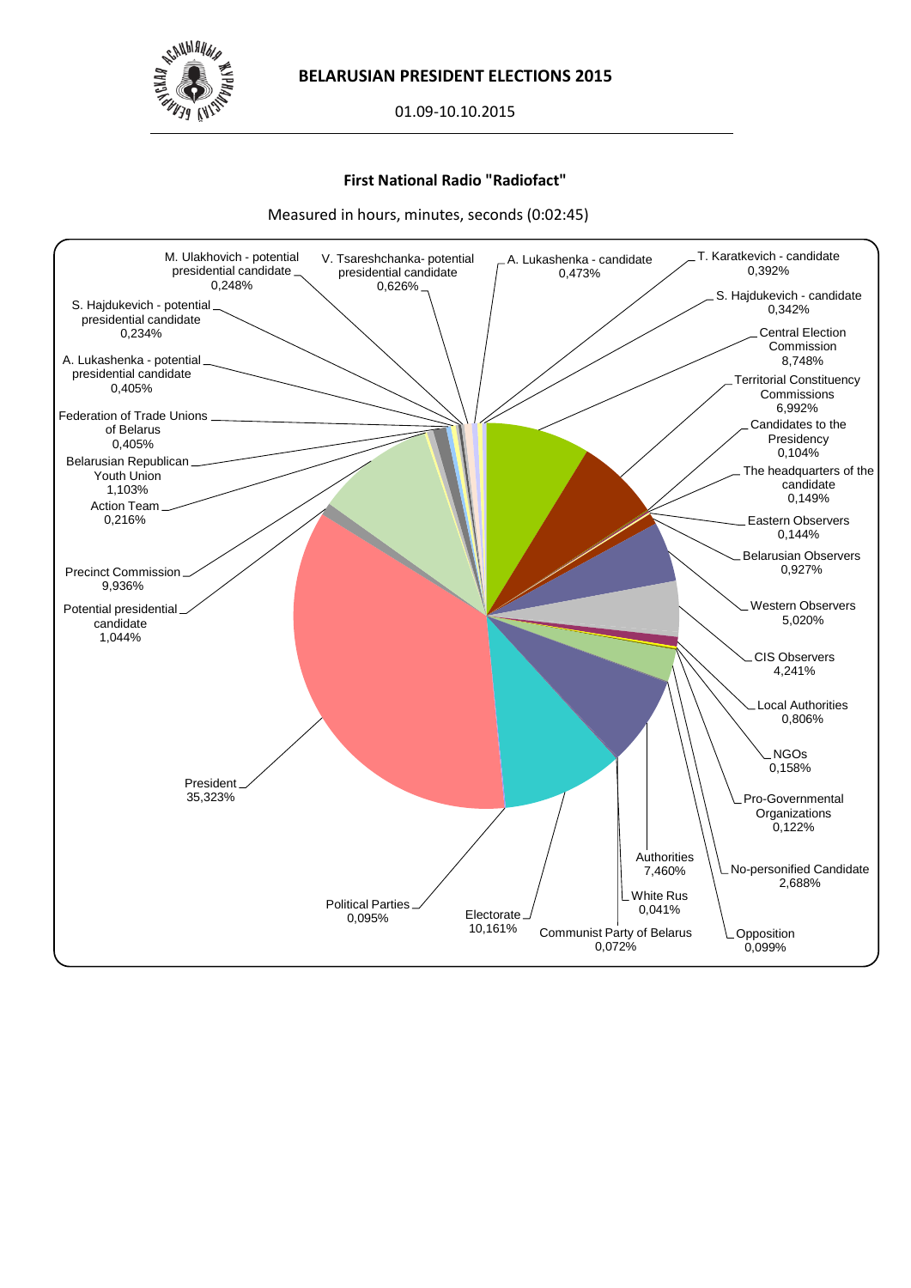

01.09-10.10.2015

## **First National Radio "Radiofact"**

Measured in hours, minutes, seconds (0:02:45)